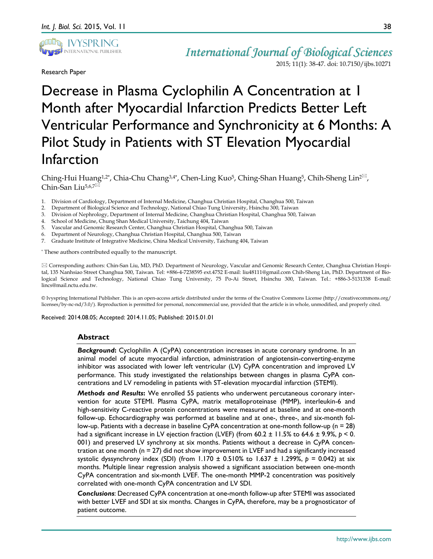

Research Paper

# Decrease in Plasma Cyclophilin A Concentration at 1 Month after Myocardial Infarction Predicts Better Left Ventricular Performance and Synchronicity at 6 Months: A Pilot Study in Patients with ST Elevation Myocardial Infarction

Ching-Hui Huang<sup>1,2\*</sup>, Chia-Chu Chang<sup>3,4\*</sup>, Chen-Ling Kuo<sup>5</sup>, Ching-Shan Huang<sup>5</sup>, Chih-Sheng Lin<sup>2⊠</sup>, Chin-San Liu<sup>5,6,7</sub></sup>

- 1. Division of Cardiology, Department of Internal Medicine, Changhua Christian Hospital, Changhua 500, Taiwan
- 2. Department of Biological Science and Technology, National Chiao Tung University, Hsinchu 300, Taiwan
- 3. Division of Nephrology, Department of Internal Medicine, Changhua Christian Hospital, Changhua 500, Taiwan
- 4. School of Medicine, Chung Shan Medical University, Taichung 404, Taiwan
- 5. Vascular and Genomic Research Center, Changhua Christian Hospital, Changhua 500, Taiwan
- 6. Department of Neurology, Changhua Christian Hospital, Changhua 500, Taiwan
- 7. Graduate Institute of Integrative Medicine, China Medical University, Taichung 404, Taiwan

\* These authors contributed equally to the manuscript.

 Corresponding authors: Chin-San Liu, MD, PhD. Department of Neurology, Vascular and Genomic Research Center, Changhua Christian Hospital, 135 Nanhsiao Street Changhua 500, Taiwan. Tel: +886-4-7238595 ext.4752 E-mail: liu48111@gmail.com Chih-Sheng Lin, PhD. Department of Biological Science and Technology, National Chiao Tung University, 75 Po-Ai Street, Hsinchu 300, Taiwan. Tel.: +886-3-5131338 E-mail: lincs@mail.nctu.edu.tw.

© Ivyspring International Publisher. This is an open-access article distributed under the terms of the Creative Commons License (http://creativecommons.org/ licenses/by-nc-nd/3.0/). Reproduction is permitted for personal, noncommercial use, provided that the article is in whole, unmodified, and properly cited.

Received: 2014.08.05; Accepted: 2014.11.05; Published: 2015.01.01

## **Abstract**

*Background***:** Cyclophilin A (CyPA) concentration increases in acute coronary syndrome. In an animal model of acute myocardial infarction, administration of angiotensin-converting-enzyme inhibitor was associated with lower left ventricular (LV) CyPA concentration and improved LV performance. This study investigated the relationships between changes in plasma CyPA concentrations and LV remodeling in patients with ST-elevation myocardial infarction (STEMI).

*Methods and Results***:** We enrolled 55 patients who underwent percutaneous coronary intervention for acute STEMI. Plasma CyPA, matrix metalloproteinase (MMP), interleukin-6 and high-sensitivity C-reactive protein concentrations were measured at baseline and at one-month follow-up. Echocardiography was performed at baseline and at one-, three-, and six-month follow-up. Patients with a decrease in baseline CyPA concentration at one-month follow-up (n = 28) had a significant increase in LV ejection fraction (LVEF) (from 60.2 ± 11.5% to 64.6 ± 9.9%, *p* < 0. 001) and preserved LV synchrony at six months. Patients without a decrease in CyPA concentration at one month ( $n = 27$ ) did not show improvement in LVEF and had a significantly increased systolic dyssynchrony index (SDI) (from  $1.170 \pm 0.510\%$  to  $1.637 \pm 1.299\%$ ,  $p = 0.042$ ) at six months. Multiple linear regression analysis showed a significant association between one-month CyPA concentration and six-month LVEF. The one-month MMP-2 concentration was positively correlated with one-month CyPA concentration and LV SDI.

*Conclusions*: Decreased CyPA concentration at one-month follow-up after STEMI was associated with better LVEF and SDI at six months. Changes in CyPA, therefore, may be a prognosticator of patient outcome.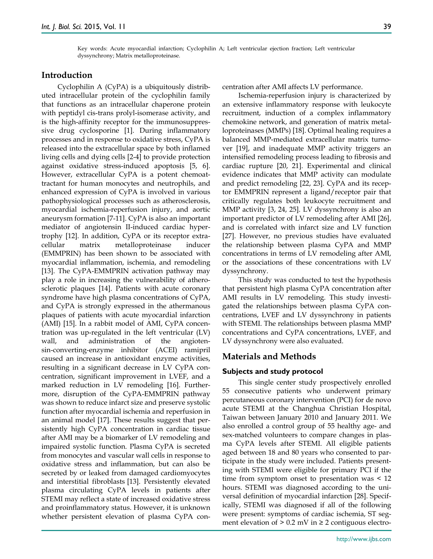Key words: Acute myocardial infarction; Cyclophilin A; Left ventricular ejection fraction; Left ventricular dyssynchrony; Matrix metalloproteinase.

# **Introduction**

Cyclophilin A (CyPA) is a ubiquitously distributed intracellular protein of the cyclophilin family that functions as an intracellular chaperone protein with peptidyl cis-trans prolyl-isomerase activity, and is the high-affinity receptor for the immunosuppressive drug cyclosporine [1]. During inflammatory processes and in response to oxidative stress, CyPA is released into the extracellular space by both inflamed living cells and dying cells [2-4] to provide protection against oxidative stress-induced apoptosis [5, 6]. However, extracellular CyPA is a potent chemoattractant for human monocytes and neutrophils, and enhanced expression of CyPA is involved in various pathophysiological processes such as atherosclerosis, myocardial ischemia-reperfusion injury, and aortic aneurysm formation [7-11]. CyPA is also an important mediator of angiotensin II-induced cardiac hypertrophy [12]. In addition, CyPA or its receptor extracellular matrix metalloproteinase inducer (EMMPRIN) has been shown to be associated with myocardial inflammation, ischemia, and remodeling [13]. The CyPA-EMMPRIN activation pathway may play a role in increasing the vulnerability of atherosclerotic plaques [14]. Patients with acute coronary syndrome have high plasma concentrations of CyPA, and CyPA is strongly expressed in the athermanous plaques of patients with acute myocardial infarction (AMI) [15]. In a rabbit model of AMI, CyPA concentration was up-regulated in the left ventricular (LV) wall, and administration of the angiotensin-converting-enzyme inhibitor (ACEI) ramipril caused an increase in antioxidant enzyme activities, resulting in a significant decrease in LV CyPA concentration, significant improvement in LVEF, and a marked reduction in LV remodeling [16]. Furthermore, disruption of the CyPA-EMMPRIN pathway was shown to reduce infarct size and preserve systolic function after myocardial ischemia and reperfusion in an animal model [17]. These results suggest that persistently high CyPA concentration in cardiac tissue after AMI may be a biomarker of LV remodeling and impaired systolic function. Plasma CyPA is secreted from monocytes and vascular wall cells in response to oxidative stress and inflammation, but can also be secreted by or leaked from damaged cardiomyocytes and interstitial fibroblasts [13]. Persistently elevated plasma circulating CyPA levels in patients after STEMI may reflect a state of increased oxidative stress and proinflammatory status. However, it is unknown whether persistent elevation of plasma CyPA concentration after AMI affects LV performance.

Ischemia-reperfusion injury is characterized by an extensive inflammatory response with leukocyte recruitment, induction of a complex inflammatory chemokine network, and generation of matrix metalloproteinases (MMPs) [18]. Optimal healing requires a balanced MMP-mediated extracellular matrix turnover [19], and inadequate MMP activity triggers an intensified remodeling process leading to fibrosis and cardiac rupture [20, 21]. Experimental and clinical evidence indicates that MMP activity can modulate and predict remodeling [22, 23]. CyPA and its receptor EMMPRIN represent a ligand/receptor pair that critically regulates both leukocyte recruitment and MMP activity [3, 24, 25]. LV dyssynchrony is also an important predictor of LV remodeling after AMI [26], and is correlated with infarct size and LV function [27]. However, no previous studies have evaluated the relationship between plasma CyPA and MMP concentrations in terms of LV remodeling after AMI, or the associations of these concentrations with LV dyssynchrony.

This study was conducted to test the hypothesis that persistent high plasma CyPA concentration after AMI results in LV remodeling. This study investigated the relationships between plasma CyPA concentrations, LVEF and LV dyssynchrony in patients with STEMI. The relationships between plasma MMP concentrations and CyPA concentrations, LVEF, and LV dyssynchrony were also evaluated.

# **Materials and Methods**

## **Subjects and study protocol**

This single center study prospectively enrolled 55 consecutive patients who underwent primary percutaneous coronary intervention (PCI) for de novo acute STEMI at the Changhua Christian Hospital, Taiwan between January 2010 and January 2011. We also enrolled a control group of 55 healthy age- and sex-matched volunteers to compare changes in plasma CyPA levels after STEMI. All eligible patients aged between 18 and 80 years who consented to participate in the study were included. Patients presenting with STEMI were eligible for primary PCI if the time from symptom onset to presentation was < 12 hours. STEMI was diagnosed according to the universal definition of myocardial infarction [28]. Specifically, STEMI was diagnosed if all of the following were present: symptoms of cardiac ischemia, ST segment elevation of  $> 0.2$  mV in  $\geq 2$  contiguous electro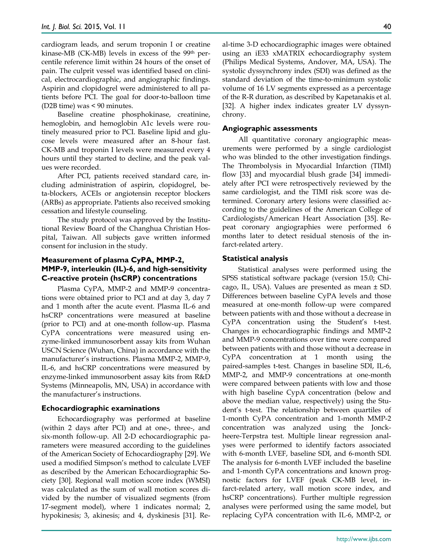cardiogram leads, and serum troponin I or creatine kinase-MB (CK-MB) levels in excess of the 99th percentile reference limit within 24 hours of the onset of pain. The culprit vessel was identified based on clinical, electrocardiographic, and angiographic findings. Aspirin and clopidogrel were administered to all patients before PCI. The goal for door-to-balloon time (D2B time) was < 90 minutes.

Baseline creatine phosphokinase, creatinine, hemoglobin, and hemoglobin A1c levels were routinely measured prior to PCI. Baseline lipid and glucose levels were measured after an 8-hour fast. CK-MB and troponin I levels were measured every 4 hours until they started to decline, and the peak values were recorded.

After PCI, patients received standard care, including administration of aspirin, clopidogrel, beta-blockers, ACEIs or angiotensin receptor blockers (ARBs) as appropriate. Patients also received smoking cessation and lifestyle counseling.

The study protocol was approved by the Institutional Review Board of the Changhua Christian Hospital, Taiwan. All subjects gave written informed consent for inclusion in the study.

## **Measurement of plasma CyPA, MMP-2, MMP-9, interleukin (IL)-6, and high-sensitivity C-reactive protein (hsCRP) concentrations**

Plasma CyPA, MMP-2 and MMP-9 concentrations were obtained prior to PCI and at day 3, day 7 and 1 month after the acute event. Plasma IL-6 and hsCRP concentrations were measured at baseline (prior to PCI) and at one-month follow-up. Plasma CyPA concentrations were measured using enzyme-linked immunosorbent assay kits from Wuhan USCN Science (Wuhan, China) in accordance with the manufacturer's instructions. Plasma MMP-2, MMP-9, IL-6, and hsCRP concentrations were measured by enzyme-linked immunosorbent assay kits from R&D Systems (Minneapolis, MN, USA) in accordance with the manufacturer's instructions.

## **Echocardiographic examinations**

Echocardiography was performed at baseline (within 2 days after PCI) and at one-, three-, and six-month follow-up. All 2-D echocardiographic parameters were measured according to the guidelines of the American Society of Echocardiography [29]. We used a modified Simpson's method to calculate LVEF as described by the American Echocardiographic Society [30]. Regional wall motion score index (WMSI) was calculated as the sum of wall motion scores divided by the number of visualized segments (from 17-segment model), where 1 indicates normal; 2, hypokinesis; 3, akinesis; and 4, dyskinesis [31]. Real-time 3-D echocardiographic images were obtained using an iE33 xMATRIX echocardiography system (Philips Medical Systems, Andover, MA, USA). The systolic dyssynchrony index (SDI) was defined as the standard deviation of the time-to-minimum systolic volume of 16 LV segments expressed as a percentage of the R-R duration, as described by Kapetanakis et al. [32]. A higher index indicates greater LV dyssynchrony.

## **Angiographic assessments**

All quantitative coronary angiographic measurements were performed by a single cardiologist who was blinded to the other investigation findings. The Thrombolysis in Myocardial Infarction (TIMI) flow [33] and myocardial blush grade [34] immediately after PCI were retrospectively reviewed by the same cardiologist, and the TIMI risk score was determined. Coronary artery lesions were classified according to the guidelines of the American College of Cardiologists/American Heart Association [35]. Repeat coronary angiographies were performed 6 months later to detect residual stenosis of the infarct-related artery.

## **Statistical analysis**

Statistical analyses were performed using the SPSS statistical software package (version 15.0; Chicago, IL, USA). Values are presented as mean ± SD. Differences between baseline CyPA levels and those measured at one-month follow-up were compared between patients with and those without a decrease in CyPA concentration using the Student's t-test. Changes in echocardiographic findings and MMP-2 and MMP-9 concentrations over time were compared between patients with and those without a decrease in CyPA concentration at 1 month using the paired-samples t-test. Changes in baseline SDI, IL-6, MMP-2, and MMP-9 concentrations at one-month were compared between patients with low and those with high baseline CypA concentration (below and above the median value, respectively) using the Student's t-test. The relationship between quartiles of 1-month CyPA concentration and 1-month MMP-2 concentration was analyzed using the Jonckheere-Terpstra test. Multiple linear regression analyses were performed to identify factors associated with 6-month LVEF, baseline SDI, and 6-month SDI. The analysis for 6-month LVEF included the baseline and 1-month CyPA concentrations and known prognostic factors for LVEF (peak CK-MB level, infarct-related artery, wall motion score index, and hsCRP concentrations). Further multiple regression analyses were performed using the same model, but replacing CyPA concentration with IL-6, MMP-2, or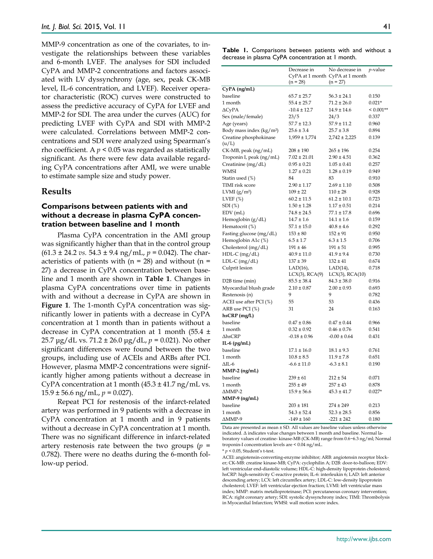MMP-9 concentration as one of the covariates, to investigate the relationships between these variables and 6-month LVEF. The analyses for SDI included CyPA and MMP-2 concentrations and factors associated with LV dyssynchrony (age, sex, peak CK-MB level, IL-6 concentration, and LVEF). Receiver operator characteristic (ROC) curves were constructed to assess the predictive accuracy of CyPA for LVEF and MMP-2 for SDI. The area under the curves (AUC) for predicting LVEF with CyPA and SDI with MMP-2 were calculated. Correlations between MMP-2 concentrations and SDI were analyzed using Spearman's rho coefficient. A  $p < 0.05$  was regarded as statistically significant. As there were few data available regarding CyPA concentrations after AMI, we were unable to estimate sample size and study power.

## **Results**

# **Comparisons between patients with and without a decrease in plasma CyPA concentration between baseline and 1 month**

Plasma CyPA concentration in the AMI group was significantly higher than that in the control group (61.3 ± 24.2 *vs.* 54.3 ± 9.4 ng/mL, *p =* 0.042). The characteristics of patients with  $(n = 28)$  and without  $(n = 12)$ 27) a decrease in CyPA concentration between baseline and 1 month are shown in **Table 1**. Changes in plasma CyPA concentrations over time in patients with and without a decrease in CyPA are shown in **Figure 1**. The 1-month CyPA concentration was significantly lower in patients with a decrease in CyPA concentration at 1 month than in patients without a decrease in CyPA concentration at 1 month (55.4 ± 25.7 μg/dL vs. 71.2 ± 26.0 μg/dL, *p* = 0.021). No other significant differences were found between the two groups, including use of ACEIs and ARBs after PCI. However, plasma MMP-2 concentrations were significantly higher among patients without a decrease in CyPA concentration at 1 month  $(45.3 \pm 41.7 \text{ ng/mL vs.})$ 15.9 ± 56.6 ng/mL, *p* = 0.027).

Repeat PCI for restenosis of the infarct-related artery was performed in 9 patients with a decrease in CyPA concentration at 1 month and in 9 patients without a decrease in CyPA concentration at 1 month. There was no significant difference in infarct-related artery restenosis rate between the two groups  $(p =$ 0.782). There were no deaths during the 6-month follow-up period.

**Table 1.** Comparisons between patients with and without a decrease in plasma CyPA concentration at 1 month.

|                                      | Decrease in                     | No decrease in    | <i>p</i> -value |
|--------------------------------------|---------------------------------|-------------------|-----------------|
|                                      | CyPA at 1 month CyPA at 1 month |                   |                 |
| $(n = 28)$                           |                                 | $(n = 27)$        |                 |
| CyPA (ng/mL)                         |                                 |                   |                 |
| baseline                             | $65.7 \pm 25.7$                 | $56.3 \pm 24.1$   | 0.150           |
| 1 month                              | $55.4 \pm 25.7$                 | $71.2 \pm 26.0$   | $0.021*$        |
| $\Delta$ CyPA                        | $-10.4 \pm 12.7$                | $14.9 \pm 14.6$   | $< 0.001**$     |
| Sex (male/female)                    | 23/5                            | 24/3              | 0.337           |
| Age (years)                          | $57.7 \pm 12.3$                 | $57.9 \pm 11.2$   | 0.960           |
| Body mass index (kg/m <sup>2</sup> ) | $25.6 \pm 3.4$                  | $25.7 \pm 3.8$    | 0.894           |
| Creatine phosphokinase               | $1,959 \pm 1,774$               | $2,742 \pm 2,225$ | 0.139           |
| (u/L)                                |                                 |                   |                 |
| CK-MB, peak (ng/mL)                  | $208 \pm 190$                   | $265 \pm 196$     | 0.254           |
| Troponin I, peak (ng/mL)             | $7.02 \pm 21.01$                | $2.90 \pm 4.51$   | 0.362           |
| Creatinine (mg/dL)                   | $0.95 \pm 0.21$                 | $1.05 \pm 0.41$   | 0.257           |
| WMSI                                 | $1.27 \pm 0.21$                 | $1.28 \pm 0.19$   | 0.949           |
| Statin used (%)                      | 84                              | 83                | 0.910           |
| TIMI risk score                      | $2.90 \pm 1.17$                 | $2.69 \pm 1.10$   | 0.508           |
| LVMI $(g/m^2)$                       | $109 \pm 22$                    | $110 \pm 28$      | 0.928           |
| LVEF $(\%)$                          | $60.2 \pm 11.5$                 | $61.2 \pm 10.1$   | 0.723           |
| $SDI(\%)$                            | $1.50 \pm 1.28$                 | $1.17 \pm 0.51$   | 0.214           |
| $EDV$ (mL)                           | $74.8 \pm 24.5$                 | $77.1 \pm 17.8$   | 0.696           |
| Hemoglobin (g/dL)                    | $14.7 \pm 1.6$                  | $14.1 \pm 1.6$    | 0.159           |
| Hematocrit (%)                       | $57.1 \pm 15.0$                 | $40.8 \pm 4.6$    | 0.292           |
| Fasting glucose (mg/dL)              | $153 \pm 80$                    | $152 \pm 91$      | 0.950           |
| Hemoglobin A1c (%)                   | $6.5 \pm 1.7$                   | $6.3 \pm 1.5$     | 0.706           |
| Cholesterol (mg/dL)                  | $191 \pm 46$                    | $191 \pm 51$      | 0.995           |
| $HDL-C$ (mg/dL)                      | $40.9 \pm 11.0$                 | $41.9 \pm 9.4$    | 0.730           |
| LDL-C (mg/dL)                        | $137 \pm 39$                    | $132 \pm 41$      | 0.674           |
| Culprit lesion                       | $LAD(16)$ ,                     | $LAD(14)$ ,       | 0.718           |
|                                      | $LCX(3)$ , $RCA(9)$             | LCX(3), RCA(10)   |                 |
| D <sub>2</sub> B time (min)          | $85.5 \pm 38.4$                 | $84.3 \pm 38.0$   | 0.916           |
| Myocardial blush grade               | $2.10 \pm 0.87$                 | $2.00 \pm 0.93$   | 0.693           |
| Restenosis (n)                       | 9                               | 9                 | 0.782           |
| ACEI use after PCI (%)               | 55                              | 53                | 0.436           |
| ARB use PCI (%)                      | 31                              | 24                | 0.163           |
| $h$ s $CRP$ (mg/L)                   |                                 |                   |                 |
| baseline                             | $0.47 \pm 0.86$                 | $0.47 \pm 0.44$   | 0.966           |
| 1 month                              | $0.32 \pm 0.92$                 | $0.46 \pm 0.76$   | 0.541           |
| $\triangle$ hsCRP                    | $-0.18 \pm 0.96$                | $-0.00 \pm 0.64$  | 0.431           |
| IL-6 $(pg/mL)$                       |                                 |                   |                 |
| baseline                             | $17.1 \pm 16.0$                 | $18.1 \pm 9.3$    | 0.761           |
| 1 month                              | $10.8 \pm 8.5$                  | $11.9 \pm 7.8$    | 0.651           |
| $\Delta$ IL-6                        | $-6.6 \pm 11.0$                 | $-6.3 \pm 8.1$    | 0.190           |
| $MMP-2$ (ng/mL)                      |                                 |                   |                 |
| baseline                             | $239 \pm 61$                    | $212 \pm 54$      | 0.071           |
| 1 month                              | $255 \pm 49$                    | $257 \pm 43$      | 0.878           |
| $\Delta$ MMP-2                       | $15.9 \pm 56.6$                 | $45.3 \pm 41.7$   | $0.027*$        |
| $MMP-9$ (ng/mL)                      |                                 |                   |                 |
| baseline                             | $203 \pm 181$                   | $274 \pm 249$     | 0.213           |
| 1 month                              | $54.3 \pm 52.4$                 | $52.3 \pm 28.5$   | 0.856           |
| ∆MMP-9                               | $-149 \pm 160$                  | $-221 \pm 242$    | 0.180           |

Data are presented as mean ± SD. All values are baseline values unless otherwise indicated. Δ indicates value changes between 1 month and baseline. Normal laboratory values of creatine- kinase-MB (CK-MB) range from 0.6−6.3 ng/ml; Normal troponin-I concentration levels are < 0.04 ng/mL.

\* *p* < 0.05, Student's t-test.

ACEI: angiotensin-converting-enzyme inhibitor; ARB: angiotensin receptor blocker; CK-MB: creatine kinase-MB; CyPA: cyclophilin A; D2B: door-to-balloon; EDV: left ventricular end-diastolic volume; HDL-C: high-density lipoprotein cholesterol; hsCRP: high-sensitivity C-reactive protein; IL-6: interleukin 6; LAD: left anterior descending artery; LCX: left circumflex artery; LDL-C: low-density lipoprotein cholesterol; LVEF: left ventricular ejection fraction; LVMI: left ventricular mass index; MMP: matrix metalloproteinase; PCI: percutaneous coronary intervention; RCA: right coronary artery; SDI: systolic dyssynchrony index; TIMI: Thrombolysis in Myocardial Infarction; WMSI: wall motion score index.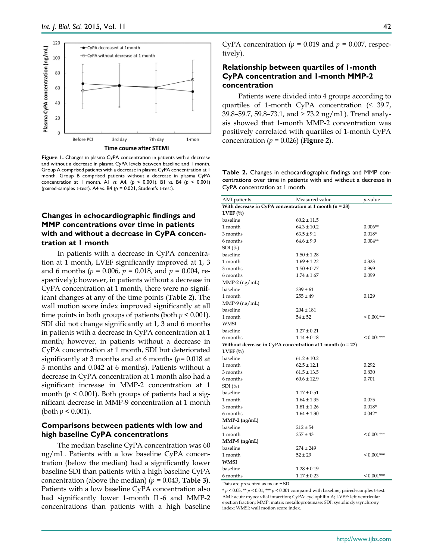

**Figure 1.** Changes in plasma CyPA concentration in patients with a decrease and without a decrease in plasma CyPA levels between baseline and 1 month. Group A comprised patients with a decrease in plasma CyPA concentration at 1 month. Group B comprised patients without a decrease in plasma CyPA concentration at 1 month. A1 *vs.* A4, (*p* < 0.001). B1 *vs.* B4 (*p* < 0.001) (paired-samples t-test). A4 *vs.* B4 (*p* = 0.021, Student's t-test).

# **Changes in echocardiographic findings and MMP concentrations over time in patients with and without a decrease in CyPA concentration at 1 month**

In patients with a decrease in CyPA concentration at 1 month, LVEF significantly improved at 1, 3 and 6 months (*p* = 0.006, *p* = 0.018, and *p* = 0.004, respectively); however, in patients without a decrease in CyPA concentration at 1 month, there were no significant changes at any of the time points (**Table 2)**. The wall motion score index improved significantly at all time points in both groups of patients (both  $p < 0.001$ ). SDI did not change significantly at 1, 3 and 6 months in patients with a decrease in CyPA concentration at 1 month; however, in patients without a decrease in CyPA concentration at 1 month, SDI but deteriorated significantly at 3 months and at 6 months (*p=* 0.018 at 3 months and 0.042 at 6 months). Patients without a decrease in CyPA concentration at 1 month also had a significant increase in MMP-2 concentration at 1 month ( $p < 0.001$ ). Both groups of patients had a significant decrease in MMP-9 concentration at 1 month (both  $p < 0.001$ ).

## **Comparisons between patients with low and high baseline CyPA concentrations**

The median baseline CyPA concentration was 60 ng/mL. Patients with a low baseline CyPA concentration (below the median) had a significantly lower baseline SDI than patients with a high baseline CyPA concentration (above the median)  $(p = 0.043, \text{Table 3}).$ Patients with a low baseline CyPA concentration also had significantly lower 1-month IL-6 and MMP-2 concentrations than patients with a high baseline

42

CyPA concentration ( $p = 0.019$  and  $p = 0.007$ , respectively).

# **Relationship between quartiles of 1-month CyPA concentration and 1-month MMP-2 concentration**

Patients were divided into 4 groups according to quartiles of 1-month CyPA concentration  $( \leq 39.7, )$ 39.8–59.7, 59.8–73.1, and  $\geq$  73.2 ng/mL). Trend analysis showed that 1-month MMP-2 concentration was positively correlated with quartiles of 1-month CyPA concentration ( $p = 0.026$ ) (**Figure 2**).

**Table 2.** Changes in echocardiographic findings and MMP concentrations over time in patients with and without a decrease in CyPA concentration at 1 month.

|                                                                             | Measured value  |                      |
|-----------------------------------------------------------------------------|-----------------|----------------------|
| AMI patients<br>With decrease in CyPA concentration at 1 month ( $n = 28$ ) |                 | <i>p</i> -value      |
|                                                                             |                 |                      |
| LVEF $(\%)$<br>baseline                                                     | $60.2 \pm 11.5$ |                      |
| 1 month                                                                     | $64.3 \pm 10.2$ |                      |
| 3 months                                                                    | $63.5 \pm 9.1$  | $0.006**$            |
|                                                                             | $64.6 \pm 9.9$  | $0.018*$             |
| 6 months                                                                    |                 | $0.004**$            |
| SDI(%)                                                                      |                 |                      |
| baseline                                                                    | $1.50 \pm 1.28$ |                      |
| 1 month                                                                     | $1.69 \pm 1.22$ | 0.323                |
| 3 months                                                                    | $1.50 \pm 0.77$ | 0.999                |
| 6 months                                                                    | $1.74 \pm 1.67$ | 0.099                |
| $MMP-2$ (ng/mL)                                                             |                 |                      |
| baseline                                                                    | $239 \pm 61$    |                      |
| 1 month                                                                     | $255 \pm 49$    | 0.129                |
| $MMP-9$ (ng/mL)                                                             |                 |                      |
| baseline                                                                    | $204 \pm 181$   |                      |
| 1 month                                                                     | $54 \pm 52$     | $< 0.001***$         |
| <b>WMSI</b>                                                                 |                 |                      |
| baseline                                                                    | $1.27 \pm 0.21$ |                      |
| 6 months                                                                    | $1.14 \pm 0.18$ | $< 0.001***$         |
| Without decrease in CyPA concentration at 1 month ( $n = 27$ )              |                 |                      |
| LVEF $(\%$                                                                  |                 |                      |
| baseline                                                                    | $61.2 \pm 10.2$ |                      |
| 1 month                                                                     | $62.5 \pm 12.1$ | 0.292                |
| 3 months                                                                    | $61.5 \pm 13.5$ | 0.830                |
| 6 months                                                                    | $60.6 \pm 12.9$ | 0.701                |
| SDI(%)                                                                      |                 |                      |
| baseline                                                                    | $1.17 \pm 0.51$ |                      |
| 1 month                                                                     | $1.64 \pm 1.35$ | 0.075                |
| 3 months                                                                    | $1.81 \pm 1.26$ | $0.018*$             |
| 6 months                                                                    | $1.64 \pm 1.30$ | $0.042*$             |
| $MMP-2$ (ng/mL)                                                             |                 |                      |
| baseline                                                                    | $212 \pm 54$    |                      |
| 1 month                                                                     | $257 \pm 43$    | ${}_{\leq 0.001***}$ |
| MMP-9 (ng/mL)                                                               |                 |                      |
| baseline                                                                    | $274 \pm 249$   |                      |
| 1 month                                                                     | $52 \pm 29$     | $< 0.001***$         |
| WMSI                                                                        |                 |                      |
| baseline                                                                    | $1.28 \pm 0.19$ |                      |
| 6 months                                                                    | $1.17 \pm 0.23$ | $< 0.001***$         |

Data are presented as mean ± SD.

 $* p < 0.05$ ,  $** p < 0.01$ ,  $*** p < 0.001$  compared with baseline, paired-samples t-test. AMI: acute myocardial infarction; CyPA: cyclophilin A; LVEF: left ventricular ejection fraction; MMP: matrix metalloproteinase; SDI: systolic dyssynchrony index; WMSI: wall motion score index.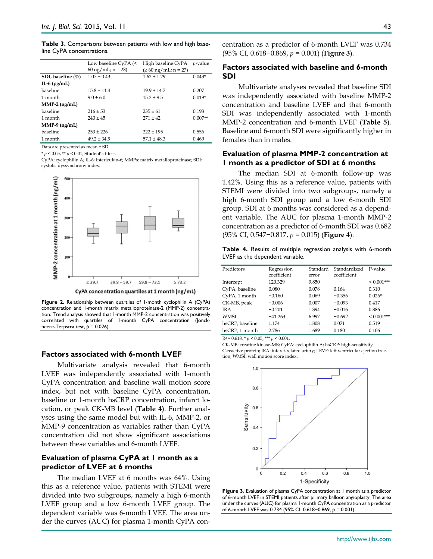**Table 3.** Comparisons between patients with low and high baseline CyPA concentrations.

|                   | Low baseline CyPA (<         | High baseline CyPA                | <i>p</i> -value |
|-------------------|------------------------------|-----------------------------------|-----------------|
|                   | $60 \text{ ng/mL}$ ; n = 28) | $( \ge 60 \text{ ng/mL}; n = 27)$ |                 |
| SDI, baseline (%) | $1.07 \pm 0.43$              | $1.62 \pm 1.29$                   | $0.043*$        |
| IL-6 $(pg/mL)$    |                              |                                   |                 |
| baseline          | $15.8 \pm 11.4$              | $19.9 \pm 14.7$                   | 0.207           |
| 1 month           | $9.0 \pm 6.0$                | $15.2 \pm 9.5$                    | $0.019*$        |
| $MMP-2$ (ng/mL)   |                              |                                   |                 |
| baseline          | $216 \pm 53$                 | $235 \pm 61$                      | 0.193           |
| 1 month           | $240 \pm 45$                 | $271 + 42$                        | $0.007**$       |
| $MMP-9$ (ng/mL)   |                              |                                   |                 |
| baseline          | $253 \pm 226$                | $222 \pm 195$                     | 0.556           |
| 1 month           | $49.2 \pm 34.9$              | $57.1 \pm 48.3$                   | 0.469           |

Data are presented as mean ± SD.

\* *p* < 0.05, \*\* *p* < 0.01, Student's t-test.

CyPA: cyclophilin A; IL-6: interleukin-6; MMPs: matrix metalloproteinase; SDI: systolic dyssynchrony index.



**Figure 2.** Relationship between quartiles of 1-month cyclophilin A (CyPA) concentration and 1-month matrix metalloproteinase-2 (MMP-2) concentration. Trend analysis showed that 1-month MMP-2 concentration was positively correlated with quartiles of 1-month CyPA concentration (Jonckheere-Terpstra test,  $p = 0.026$ ).

#### **Factors associated with 6-month LVEF**

Multivariate analysis revealed that 6-month LVEF was independently associated with 1-month CyPA concentration and baseline wall motion score index, but not with baseline CyPA concentration, baseline or 1-month hsCRP concentration, infarct location, or peak CK-MB level (**Table 4)**. Further analyses using the same model but with IL-6, MMP-2, or MMP-9 concentration as variables rather than CyPA concentration did not show significant associations between these variables and 6-month LVEF.

# **Evaluation of plasma CyPA at 1 month as a predictor of LVEF at 6 months**

The median LVEF at 6 months was 64%. Using this as a reference value, patients with STEMI were divided into two subgroups, namely a high 6-month LVEF group and a low 6-month LVEF group. The dependent variable was 6-month LVEF. The area under the curves (AUC) for plasma 1-month CyPA concentration as a predictor of 6-month LVEF was 0.734 (95% CI, 0.618−0.869, *p =* 0.001) (**Figure 3**).

## **Factors associated with baseline and 6-month SDI**

Multivariate analyses revealed that baseline SDI was independently associated with baseline MMP-2 concentration and baseline LVEF and that 6-month SDI was independently associated with 1-month MMP-2 concentration and 6-month LVEF (**Table 5**). Baseline and 6-month SDI were significantly higher in females than in males.

## **Evaluation of plasma MMP-2 concentration at 1 month as a predictor of SDI at 6 months**

The median SDI at 6-month follow-up was 1.42%. Using this as a reference value, patients with STEMI were divided into two subgroups, namely a high 6-month SDI group and a low 6-month SDI group. SDI at 6 months was considered as a dependent variable. The AUC for plasma 1-month MMP-2 concentration as a predictor of 6-month SDI was 0.682 (95% CI, 0.547−0.817, *p =* 0.015) (**Figure 4**).

**Table 4.** Results of multiple regression analysis with 6-month LVEF as the dependent variable.

| Predictors      | Regression  | Standard | Standardized | P-value      |
|-----------------|-------------|----------|--------------|--------------|
|                 | coefficient | error    | coefficient  |              |
| Intercept       | 120.329     | 9.850    |              | $< 0.001***$ |
| CyPA, baseline  | 0.080       | 0.078    | 0.164        | 0.310        |
| CyPA, 1 month   | $-0.160$    | 0.069    | $-0.356$     | $0.026*$     |
| CK-MB, peak     | $-0.006$    | 0.007    | $-0.093$     | 0.417        |
| IR A            | $-0.201$    | 1.394    | $-0.016$     | 0.886        |
| WMSI            | $-41.263$   | 6.997    | $-0.692$     | $< 0.001***$ |
| hsCRP, baseline | 1.174       | 1.808    | 0.071        | 0.519        |
| hsCRP, 1 month  | 2.786       | 1.689    | 0.180        | 0.106        |

 $R^2 = 0.618$ . \*  $p < 0.05$ , \*\*\*  $p < 0.001$ .

CK-MB: creatine kinase-MB; CyPA: cyclophilin A; hsCRP: high-sensitivity C-reactive protein; IRA: infarct-related artery; LEVF: left ventricular ejection fraction; WMSI: wall motion score index.



**Figure 3.** Evaluation of plasma CyPA concentration at 1 month as a predictor of 6-month LVEF in STEMI patients after primary balloon angioplasty. The area under the curves (AUC) for plasma 1-month CyPA concentration as a predictor of 6-month LVEF was 0.734 (95% CI, 0.618−0.869, *p =* 0.001).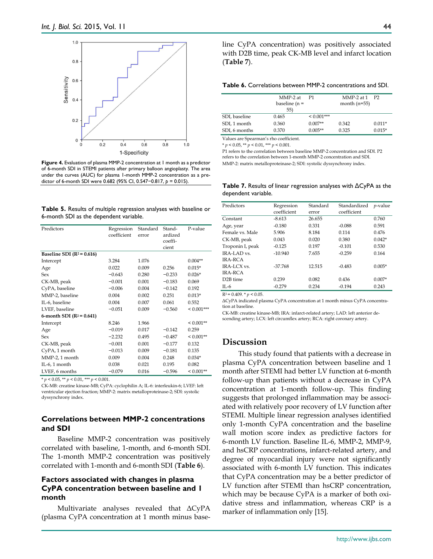

**Figure 4.** Evaluation of plasma MMP-2 concentration at 1 month as a predictor of 6-month SDI in STEMI patients after primary balloon angioplasty. The area under the curves (AUC) for plasma 1-month MMP-2 concentration as a predictor of 6-month SDI were 0.682 (95% CI, 0.547−0.817, *p =* 0.015).

**Table 5.** Results of multiple regression analyses with baseline or 6-month SDI as the dependent variable.

| Predictors                    | Regression<br>coefficient | Standard<br>error | Stand-<br>ardized<br>coeffi-<br>cient | P-value      |
|-------------------------------|---------------------------|-------------------|---------------------------------------|--------------|
| Baseline SDI ( $R^2$ = 0.616) |                           |                   |                                       |              |
| Intercept                     | 3.284                     | 1.076             |                                       | $0.004**$    |
| Age                           | 0.022                     | 0.009             | 0.256                                 | $0.015*$     |
| Sex                           | $-0.643$                  | 0.280             | $-0.233$                              | $0.026*$     |
| CK-MB, peak                   | $-0.001$                  | 0.001             | $-0.183$                              | 0.069        |
| CyPA, baseline                | $-0.006$                  | 0.004             | $-0.142$                              | 0.192        |
| MMP-2, baseline               | 0.004                     | 0.002             | 0.251                                 | $0.013*$     |
| IL-6, baseline                | 0.004                     | 0.007             | 0.061                                 | 0.552        |
| LVEF, baseline                | $-0.051$                  | 0.009             | $-0.560$                              | $< 0.001***$ |
| 6-month SDI ( $R^2$ = 0.641)  |                           |                   |                                       |              |
| Intercept                     | 8.246                     | 1.966             |                                       | $< 0.001**$  |
| Age                           | $-0.019$                  | 0.017             | $-0.142$                              | 0.259        |
| Sex                           | $-2.232$                  | 0.495             | $-0.487$                              | $< 0.001**$  |
| CK-MB, peak                   | $-0.001$                  | 0.001             | $-0.177$                              | 0.132        |
| CyPA, 1 month                 | $-0.013$                  | 0.009             | $-0.181$                              | 0.135        |
| MMP-2, 1 month                | 0.009                     | 0.004             | 0.248                                 | $0.034*$     |
| IL-6, 1 month                 | 0.038                     | 0.021             | 0.195                                 | 0.082        |
| LVEF, 6 months                | $-0.079$                  | 0.016             | $-0.596$                              | $< 0.001**$  |

\* *p* < 0.05, \*\* *p* < 0.01, \*\*\* *p* < 0.001.

CK-MB: creatine kinase-MB; CyPA: cyclophilin A; IL-6: interleukin-6; LVEF: left ventricular ejection fraction; MMP-2: matrix metalloproteinase-2; SDI: systolic dyssynchrony index.

# **Correlations between MMP-2 concentrations and SDI**

Baseline MMP-2 concentration was positively correlated with baseline, 1-month, and 6-month SDI. The 1-month MMP-2 concentration was positively correlated with 1-month and 6-month SDI (**Table 6**).

# **Factors associated with changes in plasma CyPA concentration between baseline and 1 month**

Multivariate analyses revealed that ΔCyPA (plasma CyPA concentration at 1 month minus baseline CyPA concentration) was positively associated with D2B time, peak CK-MB level and infarct location (**Table 7**).

#### **Table 6.** Correlations between MMP-2 concentrations and SDI.

|               | MMP-2 at<br>baseline ( $n =$<br>55) | P1           | MMP-2 at $1$ P2<br>month $(n=55)$ |          |
|---------------|-------------------------------------|--------------|-----------------------------------|----------|
| SDI, baseline | 0.465                               | $< 0.001***$ |                                   |          |
| SDI, 1 month  | 0.360                               | $0.007**$    | 0.342                             | $0.011*$ |
| SDI, 6 months | 0.370                               | $0.005**$    | 0.325                             | $0.015*$ |

Values are Spearman's rho coefficient.  $* p < 0.05$ ,  $** p < 0.01$ ,  $*** p < 0.001$ .

P1 refers to the correlation between baseline MMP-2 concentration and SDI. P2

refers to the correlation between 1-month MMP-2 concentration and SDI. MMP-2: matrix metalloproteinase-2; SDI: systolic dyssynchrony index.

**Table 7.** Results of linear regression analyses with ΔCyPA as the dependent variable.

| Predictors                       | Regression<br>coefficient | Standard<br>error | Standardized<br>coefficient | $p$ -value |
|----------------------------------|---------------------------|-------------------|-----------------------------|------------|
| Constant                         | $-8.613$                  | 26.655            |                             | 0.760      |
| Age, year                        | $-0.180$                  | 0.331             | $-0.088$                    | 0.591      |
| Female vs. Male                  | 5.906                     | 8.184             | 0.114                       | 0.476      |
| CK-MB, peak                      | 0.043                     | 0.020             | 0.380                       | $0.042*$   |
| Troponin I, peak                 | $-0.125$                  | 0.197             | $-0.101$                    | 0.530      |
| <b>IRA-LAD</b> vs.               | $-10.940$                 | 7.655             | $-0.259$                    | 0.164      |
| <b>IRA-RCA</b>                   |                           |                   |                             |            |
| $IRA-I CX vs.$<br><b>IRA-RCA</b> | $-37.768$                 | 12.515            | $-0.483$                    | $0.005*$   |
| D <sub>2</sub> B time            | 0.239                     | 0.082             | 0.436                       | $0.007*$   |
| $II - 6$                         | $-0.279$                  | 0.234             | $-0.194$                    | 0.243      |

 $R^2 = 0.409$ . \*  $p < 0.05$ .

ΔCyPA indicated plasma CyPA concentration at 1 month minus CyPA concentration at baseline.

CK-MB: creatine kinase-MB; IRA: infarct-related artery; LAD: left anterior descending artery; LCX: left circumflex artery; RCA: right coronary artery.

# **Discussion**

This study found that patients with a decrease in plasma CyPA concentration between baseline and 1 month after STEMI had better LV function at 6-month follow-up than patients without a decrease in CyPA concentration at 1-month follow-up. This finding suggests that prolonged inflammation may be associated with relatively poor recovery of LV function after STEMI. Multiple linear regression analyses identified only 1-month CyPA concentration and the baseline wall motion score index as predictive factors for 6-month LV function. Baseline IL-6, MMP-2, MMP-9, and hsCRP concentrations, infarct-related artery, and degree of myocardial injury were not significantly associated with 6-month LV function. This indicates that CyPA concentration may be a better predictor of LV function after STEMI than hsCRP concentration, which may be because CyPA is a marker of both oxidative stress and inflammation, whereas CRP is a marker of inflammation only [15].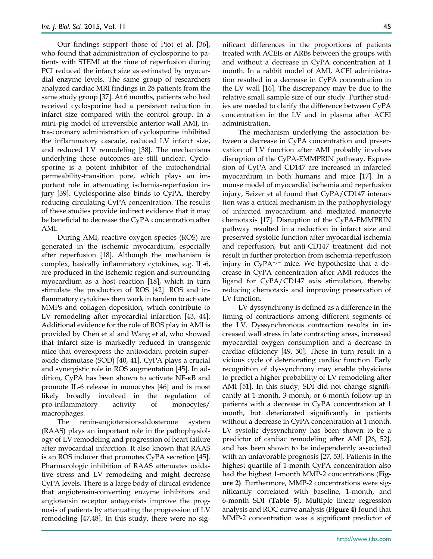Our findings support those of Piot et al. [36], who found that administration of cyclosporine to patients with STEMI at the time of reperfusion during PCI reduced the infarct size as estimated by myocardial enzyme levels. The same group of researchers analyzed cardiac MRI findings in 28 patients from the same study group [37]. At 6 months, patients who had received cyclosporine had a persistent reduction in infarct size compared with the control group. In a mini-pig model of irreversible anterior wall AMI, intra-coronary administration of cyclosporine inhibited the inflammatory cascade, reduced LV infarct size, and reduced LV remodeling [38]. The mechanisms underlying these outcomes are still unclear. Cyclosporine is a potent inhibitor of the mitochondrial permeability-transition pore, which plays an important role in attenuating ischemia-reperfusion injury [39]. Cyclosporine also binds to CyPA, thereby reducing circulating CyPA concentration. The results of these studies provide indirect evidence that it may be beneficial to decrease the CyPA concentration after AMI.

During AMI, reactive oxygen species (ROS) are generated in the ischemic myocardium, especially after reperfusion [18]. Although the mechanism is complex, basically inflammatory cytokines, e.g. IL-6, are produced in the ischemic region and surrounding myocardium as a host reaction [18], which in turn stimulate the production of ROS [42]. ROS and inflammatory cytokines then work in tandem to activate MMPs and collagen deposition, which contribute to LV remodeling after myocardial infarction [43, 44]. Additional evidence for the role of ROS play in AMI is provided by Chen et al and Wang et al, who showed that infarct size is markedly reduced in transgenic mice that overexpress the antioxidant protein superoxide dismutase (SOD) [40, 41]. CyPA plays a crucial and synergistic role in ROS augmentation [45]. In addition, CyPA has been shown to activate NF-κB and promote IL-6 release in monocytes [46] and is most likely broadly involved in the regulation of pro-inflammatory activity of monocytes/ macrophages.

The renin-angiotension-aldosterone system (RAAS) plays an important role in the pathophysiology of LV remodeling and progression of heart failure after myocardial infarction. It also known that RAAS is an ROS inducer that promotes CyPA secretion [45]. Pharmacologic inhibition of RAAS attenuates oxidative stress and LV remodeling and might decrease CyPA levels. There is a large body of clinical evidence that angiotensin-converting enzyme inhibitors and angiotensin receptor antagonists improve the prognosis of patients by attenuating the progression of LV remodeling [47,48]. In this study, there were no significant differences in the proportions of patients treated with ACEIs or ARBs between the groups with and without a decrease in CyPA concentration at 1 month. In a rabbit model of AMI, ACEI administration resulted in a decrease in CyPA concentration in the LV wall [16]. The discrepancy may be due to the relative small sample size of our study. Further studies are needed to clarify the difference between CyPA concentration in the LV and in plasma after ACEI administration.

The mechanism underlying the association between a decrease in CyPA concentration and preservation of LV function after AMI probably involves disruption of the CyPA-EMMPRIN pathway. Expression of CyPA and CD147 are increased in infarcted myocardium in both humans and mice [17]. In a mouse model of myocardial ischemia and reperfusion injury, Seizer et al found that CyPA/CD147 interaction was a critical mechanism in the pathophysiology of infarcted myocardium and mediated monocyte chemotaxis [17]. Disruption of the CyPA-EMMPRIN pathway resulted in a reduction in infarct size and preserved systolic function after myocardial ischemia and reperfusion, but anti-CD147 treatment did not result in further protection from ischemia-reperfusion injury in CyPA<sup>−</sup>/<sup>−</sup> mice. We hypothesize that a decrease in CyPA concentration after AMI reduces the ligand for CyPA/CD147 axis stimulation, thereby reducing chemotaxis and improving preservation of LV function.

LV dyssynchrony is defined as a difference in the timing of contractions among different segments of the LV. Dyssynchronous contraction results in increased wall stress in late contracting areas, increased myocardial oxygen consumption and a decrease in cardiac efficiency [49, 50]. These in turn result in a vicious cycle of deteriorating cardiac function. Early recognition of dyssynchrony may enable physicians to predict a higher probability of LV remodeling after AMI [51]. In this study, SDI did not change significantly at 1-month, 3-month, or 6-month follow-up in patients with a decrease in CyPA concentration at 1 month, but deteriorated significantly in patients without a decrease in CyPA concentration at 1 month. LV systolic dyssynchrony has been shown to be a predictor of cardiac remodeling after AMI [26, 52], and has been shown to be independently associated with an unfavorable prognosis [27, 53]. Patients in the highest quartile of 1-month CyPA concentration also had the highest 1-month MMP-2 concentrations (**Figure 2)**. Furthermore, MMP-2 concentrations were significantly correlated with baseline, 1-month, and 6-month SDI (**Table 5**). Multiple linear regression analysis and ROC curve analysis (**Figure 4)** found that MMP-2 concentration was a significant predictor of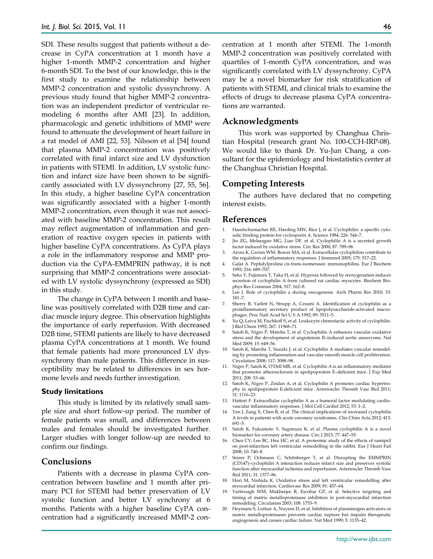SDI. These results suggest that patients without a decrease in CyPA concentration at 1 month have a higher 1-month MMP-2 concentration and higher 6-month SDI. To the best of our knowledge, this is the first study to examine the relationship between MMP-2 concentration and systolic dyssynchrony. A previous study found that higher MMP-2 concentration was an independent predictor of ventricular remodeling 6 months after AMI [23]. In addition, pharmacologic and genetic inhibitions of MMP were found to attenuate the development of heart failure in a rat model of AMI [22, 53]. Nilsson et al [54] found that plasma MMP-2 concentration was positively correlated with final infarct size and LV dysfunction in patients with STEMI. In addition, LV systolic function and infarct size have been shown to be significantly associated with LV dyssynchrony [27, 55, 56]. In this study, a higher baseline CyPA concentration was significantly associated with a higher 1-month MMP-2 concentration, even though it was not associated with baseline MMP-2 concentration. This result may reflect augmentation of inflammation and generation of reactive oxygen species in patients with higher baseline CyPA concentrations. As CyPA plays a role in the inflammatory response and MMP production via the CyPA-EMMPRIN pathway, it is not surprising that MMP-2 concentrations were associated with LV systolic dyssynchrony (expressed as SDI) in this study.

The change in CyPA between 1 month and baseline was positively correlated with D2B time and cardiac muscle injury degree. This observation highlights the importance of early reperfusion. With decreased D2B time, STEMI patients are likely to have decreased plasma CyPA concentrations at 1 month. We found that female patients had more pronounced LV dyssynchrony than male patients. This difference in susceptibility may be related to differences in sex hormone levels and needs further investigation.

## **Study limitations**

This study is limited by its relatively small sample size and short follow-up period. The number of female patients was small, and differences between males and females should be investigated further. Larger studies with longer follow-up are needed to confirm our findings.

## **Conclusions**

Patients with a decrease in plasma CyPA concentration between baseline and 1 month after primary PCI for STEMI had better preservation of LV systolic function and better LV synchrony at 6 months. Patients with a higher baseline CyPA concentration had a significantly increased MMP-2 concentration at 1 month after STEMI. The 1-month MMP-2 concentration was positively correlated with quartiles of 1-month CyPA concentration, and was significantly correlated with LV dyssynchrony. CyPA may be a novel biomarker for risk stratification of patients with STEMI, and clinical trials to examine the effects of drugs to decrease plasma CyPA concentrations are warranted.

## **Acknowledgments**

This work was supported by Changhua Christian Hospital (research grant No. 100-CCH-IRP-08). We would like to thank Dr. Yu-Jun Chang, a consultant for the epidemiology and biostatistics center at the Changhua Christian Hospital.

## **Competing Interests**

The authors have declared that no competing interest exists.

#### **References**

- 1. Handschumacher RE, Harding MW, Rice J, et al. Cyclophilin: a specific cytosolic binding protein for cyclosporin A. Science 1984; 226: 544–7.
- 2. Jin ZG, Melaragno MG, Liao DF, et al. Cyclophilin A is a secreted growth factor induced by oxidative stress. Circ Res 2000; 87: 789–96.
- 3. Arora K, Gwinn WM, Bower MA, et al. Extracellular cyclophilins contribute to the regulation of inflammatory responses. J Immunol 2005; 175: 517–22.
- 4. Galat A. Peptidylproline cis‐trans‐isomerases: immunophilins. Eur J Biochem 1993; 216: 689–707.
- 5. Seko Y, Fujimura T, Taka H, et al. Hypoxia followed by reoxygenation induces secretion of cyclophilin A from cultured rat cardiac myocytes. Biochem Biophys Res Commun 2004; 317: 162–8.
- 6. Lee J. Role of cyclophilin a during oncogenesis. Arch Pharm Res 2010; 33: 181–7.
- 7. Sherry B, Yarlett N, Strupp A, Cerami A. Identification of cyclophilin as a proinflammatory secretory product of lipopolysaccharide-activated macrophages. Proc Natl Acad Sci U S A 1992; 89: 3511–5.
- 8. Xu Q, Leiva M, Fischkoff S, et al. Leukocyte chemotactic activity of cyclophilin. J Biol Chem 1992; 267: 11968–71.
- 9. Satoh K, Nigro P, Matoba T, et al. Cyclophilin A enhances vascular oxidative stress and the development of angiotensin II–induced aortic aneurysms. Nat Med 2009; 15: 649–56.
- 10. Satoh K, Matoba T, Suzuki J, et al. Cyclophilin A mediates vascular remodeling by promoting inflammation and vascular smooth muscle cell proliferation. Circulation 2008; 117: 3088–98.
- 11. Nigro P, Satoh K, O'Dell MR, et al. Cyclophilin A is an inflammatory mediator that promotes atherosclerosis in apolipoprotein E–deficient mice. J Exp Med 2011; 208: 53–66.
- 12. Satoh K, Nigro P, Zeidan A, et al. Cyclophilin A promotes cardiac hypertrophy in apolipoprotein E-deficient mice. Arterioscler Thromb Vasc Biol 2011; 31: 1116–23.
- 13. Hattori F. Extracellular cyclophilin A as a humoral factor modulating cardiovascular inflammatory responses. J Mol Cell Cardiol 2012; 53: 1–2.
- 14. Yan J, Zang X, Chen R, et al. The clinical implications of increased cyclophilin A levels in patients with acute coronary syndromes. Clin Chim Acta 2012; 413: 691–5.
- 15. Satoh K, Fukumoto Y, Sugimura K, et al. Plasma cyclophilin A is a novel biomarker for coronary artery disease. Circ J 2013; 77: 447-55.
- 16. Chen CY, Lee BC, Hsu HC, et al. A proteomic study of the effects of ramipril on post‐infarction left ventricular remodelling in the rabbit. Eur J Heart Fail 2008; 10: 740–8.
- 17. Seizer P, Ochmann C, Schönberger T, et al. Disrupting the EMMPRIN (CD147)–cyclophilin A interaction reduces infarct size and preserves systolic function after myocardial ischemia and reperfusion. Arterioscler Thromb Vasc Biol 2011; 31: 1377–86.
- 18. Hori M, Nishida K. Oxidative stress and left ventricular remodelling after myocardial infarction. Cardiovasc Res 2009; 81: 457–64.
- 19. Yarbrough WM, Mukherjee R, Escobar GP, et al. Selective targeting and timing of matrix metalloproteinase inhibition in post-myocardial infarction remodeling. Circulation 2003; 108: 1753–9.
- 20. Heymans S, Luttun A, Nuyens D, et al. Inhibition of plasminogen activators or matrix metalloproteinases prevents cardiac rupture but impairs therapeutic angiogenesis and causes cardiac failure. Nat Med 1999; 5: 1135–42.